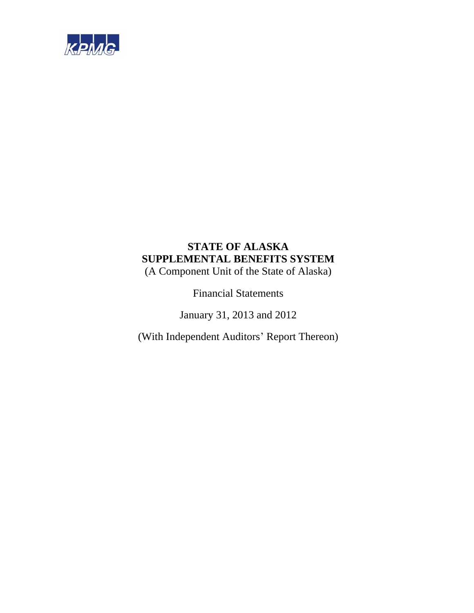

# **STATE OF ALASKA SUPPLEMENTAL BENEFITS SYSTEM**

(A Component Unit of the State of Alaska)

Financial Statements

January 31, 2013 and 2012

(With Independent Auditors' Report Thereon)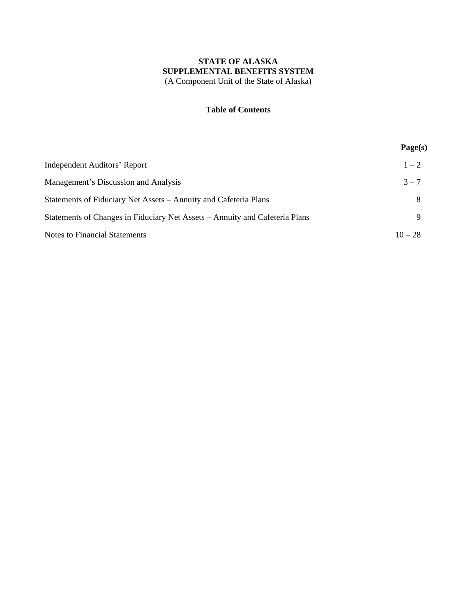# **Table of Contents**

|                                                                             | Page(s)   |
|-----------------------------------------------------------------------------|-----------|
| <b>Independent Auditors' Report</b>                                         | $1 - 2$   |
| Management's Discussion and Analysis                                        | $3 - 7$   |
| Statements of Fiduciary Net Assets – Annuity and Cafeteria Plans            | 8         |
| Statements of Changes in Fiduciary Net Assets – Annuity and Cafeteria Plans | 9         |
| <b>Notes to Financial Statements</b>                                        | $10 - 28$ |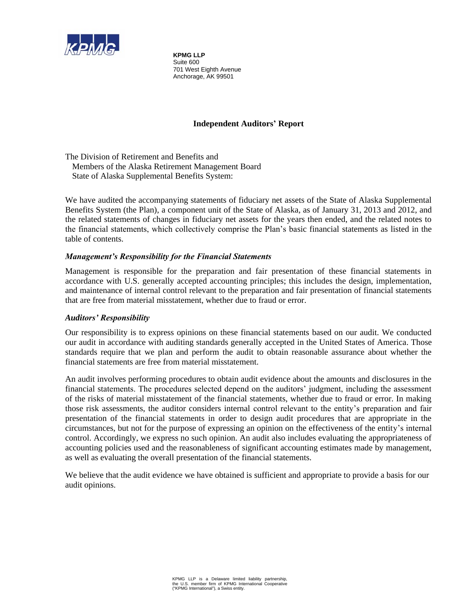

**KPMG LLP**  Suite 600 701 West Eighth Avenue Anchorage, AK 99501

# **Independent Auditors' Report**

The Division of Retirement and Benefits and Members of the Alaska Retirement Management Board State of Alaska Supplemental Benefits System:

We have audited the accompanying statements of fiduciary net assets of the State of Alaska Supplemental Benefits System (the Plan), a component unit of the State of Alaska, as of January 31, 2013 and 2012, and the related statements of changes in fiduciary net assets for the years then ended, and the related notes to the financial statements, which collectively comprise the Plan's basic financial statements as listed in the table of contents.

# *Management's Responsibility for the Financial Statements*

Management is responsible for the preparation and fair presentation of these financial statements in accordance with U.S. generally accepted accounting principles; this includes the design, implementation, and maintenance of internal control relevant to the preparation and fair presentation of financial statements that are free from material misstatement, whether due to fraud or error.

# *Auditors' Responsibility*

Our responsibility is to express opinions on these financial statements based on our audit. We conducted our audit in accordance with auditing standards generally accepted in the United States of America. Those standards require that we plan and perform the audit to obtain reasonable assurance about whether the financial statements are free from material misstatement.

An audit involves performing procedures to obtain audit evidence about the amounts and disclosures in the financial statements. The procedures selected depend on the auditors' judgment, including the assessment of the risks of material misstatement of the financial statements, whether due to fraud or error. In making those risk assessments, the auditor considers internal control relevant to the entity's preparation and fair presentation of the financial statements in order to design audit procedures that are appropriate in the circumstances, but not for the purpose of expressing an opinion on the effectiveness of the entity's internal control. Accordingly, we express no such opinion. An audit also includes evaluating the appropriateness of accounting policies used and the reasonableness of significant accounting estimates made by management, as well as evaluating the overall presentation of the financial statements.

We believe that the audit evidence we have obtained is sufficient and appropriate to provide a basis for our audit opinions.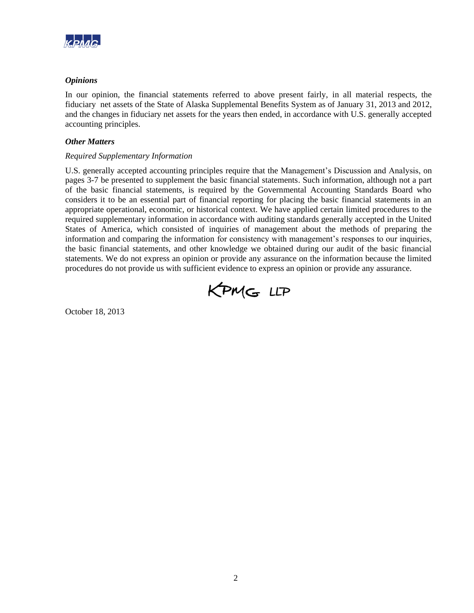

# *Opinions*

In our opinion, the financial statements referred to above present fairly, in all material respects, the fiduciary net assets of the State of Alaska Supplemental Benefits System as of January 31, 2013 and 2012, and the changes in fiduciary net assets for the years then ended, in accordance with U.S. generally accepted accounting principles.

# *Other Matters*

# *Required Supplementary Information*

U.S. generally accepted accounting principles require that the Management's Discussion and Analysis, on pages 3-7 be presented to supplement the basic financial statements. Such information, although not a part of the basic financial statements, is required by the Governmental Accounting Standards Board who considers it to be an essential part of financial reporting for placing the basic financial statements in an appropriate operational, economic, or historical context. We have applied certain limited procedures to the required supplementary information in accordance with auditing standards generally accepted in the United States of America, which consisted of inquiries of management about the methods of preparing the information and comparing the information for consistency with management's responses to our inquiries, the basic financial statements, and other knowledge we obtained during our audit of the basic financial statements. We do not express an opinion or provide any assurance on the information because the limited procedures do not provide us with sufficient evidence to express an opinion or provide any assurance.



October 18, 2013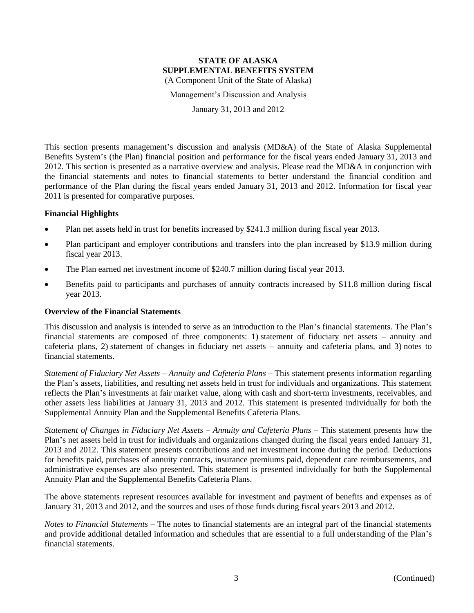Management's Discussion and Analysis

January 31, 2013 and 2012

This section presents management's discussion and analysis (MD&A) of the State of Alaska Supplemental Benefits System's (the Plan) financial position and performance for the fiscal years ended January 31, 2013 and 2012. This section is presented as a narrative overview and analysis. Please read the MD&A in conjunction with the financial statements and notes to financial statements to better understand the financial condition and performance of the Plan during the fiscal years ended January 31, 2013 and 2012. Information for fiscal year 2011 is presented for comparative purposes.

# **Financial Highlights**

- Plan net assets held in trust for benefits increased by \$241.3 million during fiscal year 2013.
- Plan participant and employer contributions and transfers into the plan increased by \$13.9 million during fiscal year 2013.
- The Plan earned net investment income of \$240.7 million during fiscal year 2013.
- Benefits paid to participants and purchases of annuity contracts increased by \$11.8 million during fiscal year 2013.

# **Overview of the Financial Statements**

This discussion and analysis is intended to serve as an introduction to the Plan's financial statements. The Plan's financial statements are composed of three components: 1) statement of fiduciary net assets – annuity and cafeteria plans, 2) statement of changes in fiduciary net assets – annuity and cafeteria plans, and 3) notes to financial statements.

*Statement of Fiduciary Net Assets – Annuity and Cafeteria Plans* – This statement presents information regarding the Plan's assets, liabilities, and resulting net assets held in trust for individuals and organizations. This statement reflects the Plan's investments at fair market value, along with cash and short-term investments, receivables, and other assets less liabilities at January 31, 2013 and 2012. This statement is presented individually for both the Supplemental Annuity Plan and the Supplemental Benefits Cafeteria Plans.

*Statement of Changes in Fiduciary Net Assets – Annuity and Cafeteria Plans* – This statement presents how the Plan's net assets held in trust for individuals and organizations changed during the fiscal years ended January 31, 2013 and 2012. This statement presents contributions and net investment income during the period. Deductions for benefits paid, purchases of annuity contracts, insurance premiums paid, dependent care reimbursements, and administrative expenses are also presented. This statement is presented individually for both the Supplemental Annuity Plan and the Supplemental Benefits Cafeteria Plans.

The above statements represent resources available for investment and payment of benefits and expenses as of January 31, 2013 and 2012, and the sources and uses of those funds during fiscal years 2013 and 2012.

*Notes to Financial Statements* – The notes to financial statements are an integral part of the financial statements and provide additional detailed information and schedules that are essential to a full understanding of the Plan's financial statements.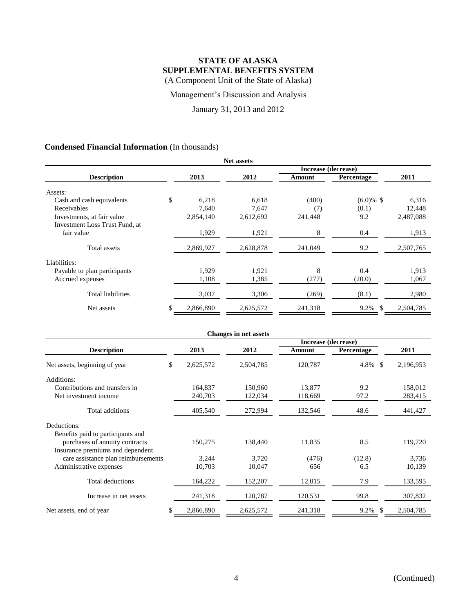Management's Discussion and Analysis

January 31, 2013 and 2012

# **Condensed Financial Information** (In thousands)

| <b>Net assets</b>              |    |           |           |                     |                   |           |  |
|--------------------------------|----|-----------|-----------|---------------------|-------------------|-----------|--|
|                                |    |           |           | Increase (decrease) |                   |           |  |
| <b>Description</b>             |    | 2013      | 2012      | Amount              | <b>Percentage</b> | 2011      |  |
| Assets:                        |    |           |           |                     |                   |           |  |
| Cash and cash equivalents      | \$ | 6,218     | 6,618     | (400)               | $(6.0)\%$ \$      | 6,316     |  |
| Receivables                    |    | 7,640     | 7,647     | (7)                 | (0.1)             | 12,448    |  |
| Investments, at fair value     |    | 2,854,140 | 2,612,692 | 241,448             | 9.2               | 2,487,088 |  |
| Investment Loss Trust Fund, at |    |           |           |                     |                   |           |  |
| fair value                     |    | 1,929     | 1,921     | 8                   | 0.4               | 1,913     |  |
| <b>Total assets</b>            |    | 2,869,927 | 2,628,878 | 241,049             | 9.2               | 2,507,765 |  |
| Liabilities:                   |    |           |           |                     |                   |           |  |
| Payable to plan participants   |    | 1,929     | 1,921     | 8                   | 0.4               | 1,913     |  |
| Accrued expenses               |    | 1,108     | 1,385     | (277)               | (20.0)            | 1,067     |  |
| <b>Total liabilities</b>       |    | 3,037     | 3,306     | (269)               | (8.1)             | 2,980     |  |
| Net assets                     | \$ | 2,866,890 | 2,625,572 | 241,318             | 9.2%<br>\$.       | 2,504,785 |  |

|                                     | <b>Changes in net assets</b> |           |           |         |            |           |  |  |
|-------------------------------------|------------------------------|-----------|-----------|---------|------------|-----------|--|--|
| Increase (decrease)                 |                              |           |           |         |            |           |  |  |
| <b>Description</b>                  |                              | 2013      | 2012      | Amount  | Percentage | 2011      |  |  |
| Net assets, beginning of year       | \$                           | 2,625,572 | 2,504,785 | 120,787 | $4.8\%$ \$ | 2,196,953 |  |  |
| Additions:                          |                              |           |           |         |            |           |  |  |
| Contributions and transfers in      |                              | 164,837   | 150,960   | 13,877  | 9.2        | 158,012   |  |  |
| Net investment income               |                              | 240,703   | 122,034   | 118,669 | 97.2       | 283,415   |  |  |
| Total additions                     |                              | 405,540   | 272,994   | 132,546 | 48.6       | 441,427   |  |  |
| Deductions:                         |                              |           |           |         |            |           |  |  |
| Benefits paid to participants and   |                              |           |           |         |            |           |  |  |
| purchases of annuity contracts      |                              | 150,275   | 138,440   | 11,835  | 8.5        | 119,720   |  |  |
| Insurance premiums and dependent    |                              |           |           |         |            |           |  |  |
| care assistance plan reimbursements |                              | 3,244     | 3,720     | (476)   | (12.8)     | 3,736     |  |  |
| Administrative expenses             |                              | 10,703    | 10,047    | 656     | 6.5        | 10,139    |  |  |
| Total deductions                    |                              | 164,222   | 152,207   | 12,015  | 7.9        | 133,595   |  |  |
| Increase in net assets              |                              | 241,318   | 120,787   | 120,531 | 99.8       | 307,832   |  |  |
| Net assets, end of year             | \$                           | 2,866,890 | 2,625,572 | 241,318 | 9.2%<br>-S | 2,504,785 |  |  |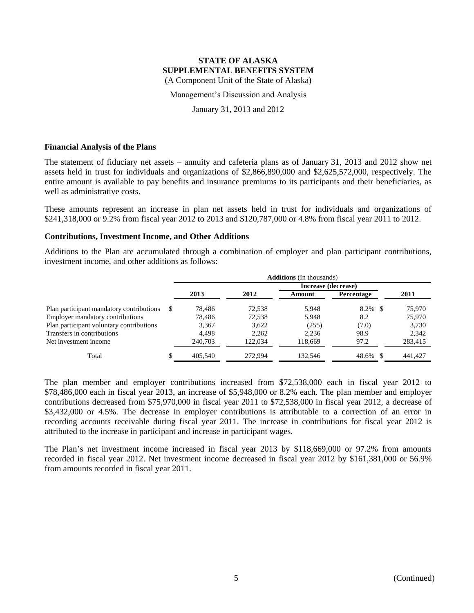Management's Discussion and Analysis

January 31, 2013 and 2012

#### **Financial Analysis of the Plans**

The statement of fiduciary net assets – annuity and cafeteria plans as of January 31, 2013 and 2012 show net assets held in trust for individuals and organizations of \$2,866,890,000 and \$2,625,572,000, respectively. The entire amount is available to pay benefits and insurance premiums to its participants and their beneficiaries, as well as administrative costs.

These amounts represent an increase in plan net assets held in trust for individuals and organizations of \$241,318,000 or 9.2% from fiscal year 2012 to 2013 and \$120,787,000 or 4.8% from fiscal year 2011 to 2012.

#### **Contributions, Investment Income, and Other Additions**

Additions to the Plan are accumulated through a combination of employer and plan participant contributions, investment income, and other additions as follows:

|                                          | <b>Additions</b> (In thousands) |         |         |                     |               |         |
|------------------------------------------|---------------------------------|---------|---------|---------------------|---------------|---------|
|                                          |                                 |         |         | Increase (decrease) |               |         |
|                                          |                                 | 2013    | 2012    | Amount              | Percentage    | 2011    |
| Plan participant mandatory contributions | S                               | 78.486  | 72.538  | 5.948               | 8.2%<br>-8    | 75,970  |
| Employer mandatory contributions         |                                 | 78.486  | 72,538  | 5,948               | 8.2           | 75,970  |
| Plan participant voluntary contributions |                                 | 3,367   | 3,622   | (255)               | (7.0)         | 3,730   |
| Transfers in contributions               |                                 | 4.498   | 2,262   | 2,236               | 98.9          | 2,342   |
| Net investment income                    |                                 | 240,703 | 122,034 | 118,669             | 97.2          | 283,415 |
| Total                                    | J.                              | 405.540 | 272,994 | 132,546             | 48.6%<br>- \$ | 441.427 |

The plan member and employer contributions increased from \$72,538,000 each in fiscal year 2012 to \$78,486,000 each in fiscal year 2013, an increase of \$5,948,000 or 8.2% each. The plan member and employer contributions decreased from \$75,970,000 in fiscal year 2011 to \$72,538,000 in fiscal year 2012, a decrease of \$3,432,000 or 4.5%. The decrease in employer contributions is attributable to a correction of an error in recording accounts receivable during fiscal year 2011. The increase in contributions for fiscal year 2012 is attributed to the increase in participant and increase in participant wages.

The Plan's net investment income increased in fiscal year 2013 by \$118,669,000 or 97.2% from amounts recorded in fiscal year 2012. Net investment income decreased in fiscal year 2012 by \$161,381,000 or 56.9% from amounts recorded in fiscal year 2011.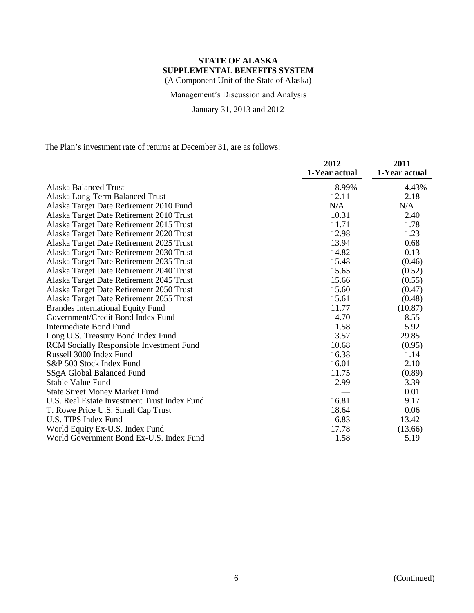Management's Discussion and Analysis

January 31, 2013 and 2012

The Plan's investment rate of returns at December 31, are as follows:

|                                                 | 2012          | 2011          |
|-------------------------------------------------|---------------|---------------|
|                                                 | 1-Year actual | 1-Year actual |
| Alaska Balanced Trust                           | 8.99%         | 4.43%         |
| Alaska Long-Term Balanced Trust                 | 12.11         | 2.18          |
| Alaska Target Date Retirement 2010 Fund         | N/A           | N/A           |
| Alaska Target Date Retirement 2010 Trust        | 10.31         | 2.40          |
| Alaska Target Date Retirement 2015 Trust        | 11.71         | 1.78          |
| Alaska Target Date Retirement 2020 Trust        | 12.98         | 1.23          |
| Alaska Target Date Retirement 2025 Trust        | 13.94         | 0.68          |
| Alaska Target Date Retirement 2030 Trust        | 14.82         | 0.13          |
| Alaska Target Date Retirement 2035 Trust        | 15.48         | (0.46)        |
| Alaska Target Date Retirement 2040 Trust        | 15.65         | (0.52)        |
| Alaska Target Date Retirement 2045 Trust        | 15.66         | (0.55)        |
| Alaska Target Date Retirement 2050 Trust        | 15.60         | (0.47)        |
| Alaska Target Date Retirement 2055 Trust        | 15.61         | (0.48)        |
| <b>Brandes International Equity Fund</b>        | 11.77         | (10.87)       |
| Government/Credit Bond Index Fund               | 4.70          | 8.55          |
| <b>Intermediate Bond Fund</b>                   | 1.58          | 5.92          |
| Long U.S. Treasury Bond Index Fund              | 3.57          | 29.85         |
| <b>RCM Socially Responsible Investment Fund</b> | 10.68         | (0.95)        |
| Russell 3000 Index Fund                         | 16.38         | 1.14          |
| S&P 500 Stock Index Fund                        | 16.01         | 2.10          |
| SSgA Global Balanced Fund                       | 11.75         | (0.89)        |
| Stable Value Fund                               | 2.99          | 3.39          |
| <b>State Street Money Market Fund</b>           |               | 0.01          |
| U.S. Real Estate Investment Trust Index Fund    | 16.81         | 9.17          |
| T. Rowe Price U.S. Small Cap Trust              | 18.64         | 0.06          |
| U.S. TIPS Index Fund                            | 6.83          | 13.42         |
| World Equity Ex-U.S. Index Fund                 | 17.78         | (13.66)       |
| World Government Bond Ex-U.S. Index Fund        | 1.58          | 5.19          |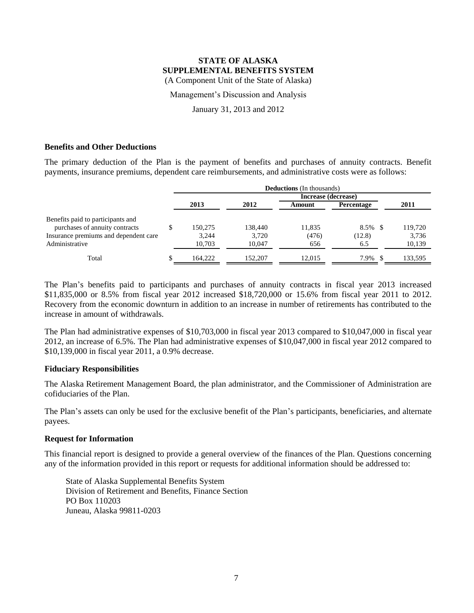Management's Discussion and Analysis

January 31, 2013 and 2012

# **Benefits and Other Deductions**

The primary deduction of the Plan is the payment of benefits and purchases of annuity contracts. Benefit payments, insurance premiums, dependent care reimbursements, and administrative costs were as follows:

|                                       | <b>Deductions</b> (In thousands) |         |         |                     |                   |         |
|---------------------------------------|----------------------------------|---------|---------|---------------------|-------------------|---------|
|                                       |                                  |         |         | Increase (decrease) |                   |         |
|                                       |                                  | 2013    | 2012    | Amount              | <b>Percentage</b> | 2011    |
| Benefits paid to participants and     |                                  |         |         |                     |                   |         |
| purchases of annuity contracts        |                                  | 150.275 | 138,440 | 11,835              | 8.5%              | 119,720 |
| Insurance premiums and dependent care |                                  | 3,244   | 3,720   | (476)               | (12.8)            | 3,736   |
| Administrative                        |                                  | 10,703  | 10.047  | 656                 | 6.5               | 10,139  |
| Total                                 | S                                | 164.222 | 152,207 | 12.015              | 7.9%              | 133.595 |

The Plan's benefits paid to participants and purchases of annuity contracts in fiscal year 2013 increased \$11,835,000 or 8.5% from fiscal year 2012 increased \$18,720,000 or 15.6% from fiscal year 2011 to 2012. Recovery from the economic downturn in addition to an increase in number of retirements has contributed to the increase in amount of withdrawals.

The Plan had administrative expenses of \$10,703,000 in fiscal year 2013 compared to \$10,047,000 in fiscal year 2012, an increase of 6.5%. The Plan had administrative expenses of \$10,047,000 in fiscal year 2012 compared to \$10,139,000 in fiscal year 2011, a 0.9% decrease.

#### **Fiduciary Responsibilities**

The Alaska Retirement Management Board, the plan administrator, and the Commissioner of Administration are cofiduciaries of the Plan.

The Plan's assets can only be used for the exclusive benefit of the Plan's participants, beneficiaries, and alternate payees.

#### **Request for Information**

This financial report is designed to provide a general overview of the finances of the Plan. Questions concerning any of the information provided in this report or requests for additional information should be addressed to:

State of Alaska Supplemental Benefits System Division of Retirement and Benefits, Finance Section PO Box 110203 Juneau, Alaska 99811-0203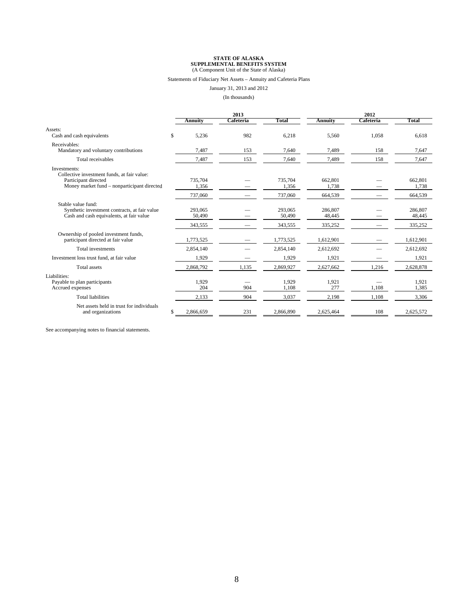#### Statements of Fiduciary Net Assets – Annuity and Cafeteria Plans

January 31, 2013 and 2012

(In thousands)

|                                                                                                                                    | 2013                         |           |                              | 2012                         |           |                              |
|------------------------------------------------------------------------------------------------------------------------------------|------------------------------|-----------|------------------------------|------------------------------|-----------|------------------------------|
|                                                                                                                                    | Annuity                      | Cafeteria | Total                        | <b>Annuity</b>               | Cafeteria | Total                        |
| Assets:<br>Cash and cash equivalents                                                                                               | \$<br>5,236                  | 982       | 6,218                        | 5,560                        | 1,058     | 6,618                        |
| Receivables:<br>Mandatory and voluntary contributions                                                                              | 7,487                        | 153       | 7,640                        | 7,489                        | 158       | 7,647                        |
| Total receivables                                                                                                                  | 7,487                        | 153       | 7,640                        | 7,489                        | 158       | 7,647                        |
| Investments:<br>Collective investment funds, at fair value:<br>Participant directed<br>Money market fund – nonparticipant directed | 735.704<br>1,356             |           | 735,704<br>1,356             | 662,801<br>1,738             |           | 662,801<br>1.738             |
|                                                                                                                                    | 737,060                      |           | 737,060                      | 664,539                      |           | 664,539                      |
| Stable value fund:<br>Synthetic investment contracts, at fair value<br>Cash and cash equivalents, at fair value                    | 293,065<br>50,490<br>343,555 |           | 293,065<br>50,490<br>343,555 | 286,807<br>48,445<br>335,252 |           | 286,807<br>48,445<br>335,252 |
| Ownership of pooled investment funds,<br>participant directed at fair value                                                        | 1.773.525                    |           | 1,773,525                    | 1,612,901                    |           | 1,612,901                    |
| Total investments                                                                                                                  | 2,854,140                    |           | 2,854,140                    | 2,612,692                    |           | 2,612,692                    |
| Investment loss trust fund, at fair value                                                                                          | 1,929                        |           | 1,929                        | 1,921                        |           | 1,921                        |
| <b>Total</b> assets                                                                                                                | 2,868,792                    | 1,135     | 2,869,927                    | 2,627,662                    | 1,216     | 2,628,878                    |
| Liabilities:<br>Payable to plan participants<br>Accrued expenses                                                                   | 1,929<br>204                 | 904       | 1,929<br>1,108               | 1,921<br>277                 | 1,108     | 1,921<br>1,385               |
| <b>Total liabilities</b>                                                                                                           | 2,133                        | 904       | 3,037                        | 2,198                        | 1,108     | 3,306                        |
| Net assets held in trust for individuals<br>and organizations                                                                      | \$<br>2,866,659              | 231       | 2,866,890                    | 2,625,464                    | 108       | 2,625,572                    |

See accompanying notes to financial statements.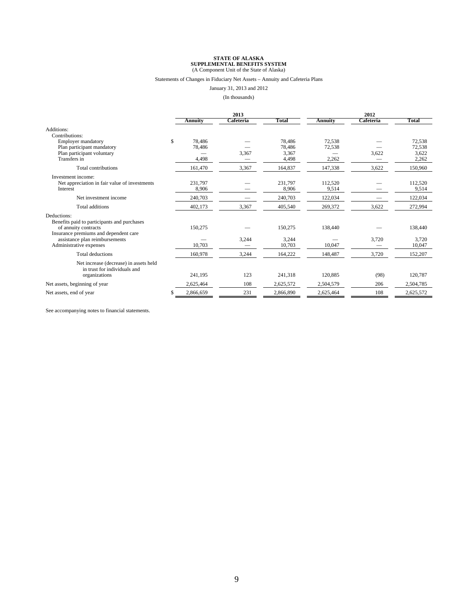#### Statements of Changes in Fiduciary Net Assets – Annuity and Cafeteria Plans

January 31, 2013 and 2012

#### (In thousands)

|                                                                                                                             | 2013                            |           |                                    | 2012                      |            |                                    |
|-----------------------------------------------------------------------------------------------------------------------------|---------------------------------|-----------|------------------------------------|---------------------------|------------|------------------------------------|
|                                                                                                                             | <b>Annuity</b>                  | Cafeteria | Total                              | <b>Annuity</b>            | Cafeteria  | Total                              |
| Additions:<br>Contributions:                                                                                                |                                 |           |                                    |                           |            |                                    |
| <b>Employer mandatory</b><br>Plan participant mandatory<br>Plan participant voluntary<br>Transfers in                       | \$<br>78,486<br>78,486<br>4,498 | 3,367     | 78,486<br>78,486<br>3,367<br>4,498 | 72,538<br>72,538<br>2,262 | 3,622<br>- | 72,538<br>72,538<br>3,622<br>2,262 |
| Total contributions                                                                                                         | 161,470                         | 3,367     | 164,837                            | 147,338                   | 3,622      | 150,960                            |
| Investment income:<br>Net appreciation in fair value of investments<br>Interest                                             | 231,797<br>8,906                |           | 231.797<br>8,906                   | 112,520<br>9,514          |            | 112,520<br>9,514                   |
| Net investment income                                                                                                       | 240,703                         |           | 240,703                            | 122,034                   |            | 122,034                            |
| <b>Total additions</b>                                                                                                      | 402,173                         | 3,367     | 405,540                            | 269,372                   | 3,622      | 272,994                            |
| Deductions:<br>Benefits paid to participants and purchases<br>of annuity contracts<br>Insurance premiums and dependent care | 150,275                         |           | 150,275                            | 138,440                   |            | 138,440                            |
| assistance plan reimbursements<br>Administrative expenses                                                                   | 10,703                          | 3,244     | 3,244<br>10,703                    | 10,047                    | 3,720      | 3,720<br>10,047                    |
| <b>Total deductions</b>                                                                                                     | 160,978                         | 3,244     | 164,222                            | 148,487                   | 3,720      | 152,207                            |
| Net increase (decrease) in assets held<br>in trust for individuals and<br>organizations                                     | 241,195                         | 123       | 241,318                            | 120,885                   | (98)       | 120,787                            |
| Net assets, beginning of year                                                                                               | 2,625,464                       | 108       | 2,625,572                          | 2,504,579                 | 206        | 2,504,785                          |
| Net assets, end of year                                                                                                     | \$<br>2,866,659                 | 231       | 2,866,890                          | 2,625,464                 | 108        | 2,625,572                          |

See accompanying notes to financial statements.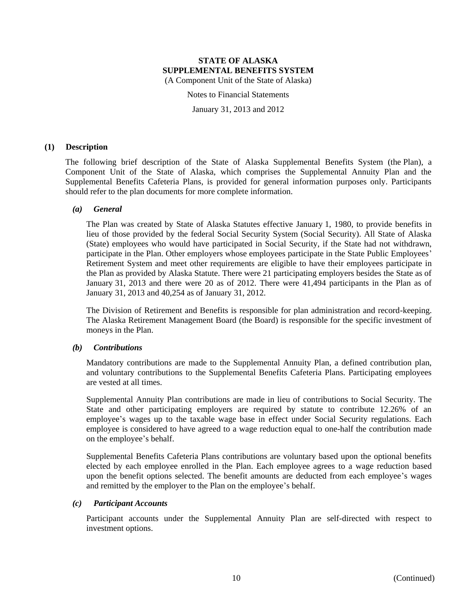Notes to Financial Statements

January 31, 2013 and 2012

#### **(1) Description**

The following brief description of the State of Alaska Supplemental Benefits System (the Plan), a Component Unit of the State of Alaska, which comprises the Supplemental Annuity Plan and the Supplemental Benefits Cafeteria Plans, is provided for general information purposes only. Participants should refer to the plan documents for more complete information.

#### *(a) General*

The Plan was created by State of Alaska Statutes effective January 1, 1980, to provide benefits in lieu of those provided by the federal Social Security System (Social Security). All State of Alaska (State) employees who would have participated in Social Security, if the State had not withdrawn, participate in the Plan. Other employers whose employees participate in the State Public Employees' Retirement System and meet other requirements are eligible to have their employees participate in the Plan as provided by Alaska Statute. There were 21 participating employers besides the State as of January 31, 2013 and there were 20 as of 2012. There were 41,494 participants in the Plan as of January 31, 2013 and 40,254 as of January 31, 2012.

The Division of Retirement and Benefits is responsible for plan administration and record-keeping. The Alaska Retirement Management Board (the Board) is responsible for the specific investment of moneys in the Plan.

#### *(b) Contributions*

Mandatory contributions are made to the Supplemental Annuity Plan, a defined contribution plan, and voluntary contributions to the Supplemental Benefits Cafeteria Plans. Participating employees are vested at all times.

Supplemental Annuity Plan contributions are made in lieu of contributions to Social Security. The State and other participating employers are required by statute to contribute 12.26% of an employee's wages up to the taxable wage base in effect under Social Security regulations. Each employee is considered to have agreed to a wage reduction equal to one-half the contribution made on the employee's behalf.

Supplemental Benefits Cafeteria Plans contributions are voluntary based upon the optional benefits elected by each employee enrolled in the Plan. Each employee agrees to a wage reduction based upon the benefit options selected. The benefit amounts are deducted from each employee's wages and remitted by the employer to the Plan on the employee's behalf.

#### *(c) Participant Accounts*

Participant accounts under the Supplemental Annuity Plan are self-directed with respect to investment options.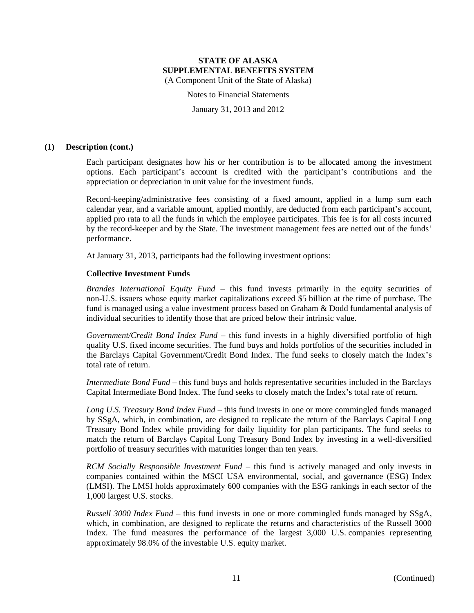Notes to Financial Statements

January 31, 2013 and 2012

#### **(1) Description (cont.)**

Each participant designates how his or her contribution is to be allocated among the investment options. Each participant's account is credited with the participant's contributions and the appreciation or depreciation in unit value for the investment funds.

Record-keeping/administrative fees consisting of a fixed amount, applied in a lump sum each calendar year, and a variable amount, applied monthly, are deducted from each participant's account, applied pro rata to all the funds in which the employee participates. This fee is for all costs incurred by the record-keeper and by the State. The investment management fees are netted out of the funds' performance.

At January 31, 2013, participants had the following investment options:

#### **Collective Investment Funds**

*Brandes International Equity Fund* – this fund invests primarily in the equity securities of non-U.S. issuers whose equity market capitalizations exceed \$5 billion at the time of purchase. The fund is managed using a value investment process based on Graham & Dodd fundamental analysis of individual securities to identify those that are priced below their intrinsic value.

*Government/Credit Bond Index Fund* – this fund invests in a highly diversified portfolio of high quality U.S. fixed income securities. The fund buys and holds portfolios of the securities included in the Barclays Capital Government/Credit Bond Index. The fund seeks to closely match the Index's total rate of return.

*Intermediate Bond Fund* – this fund buys and holds representative securities included in the Barclays Capital Intermediate Bond Index. The fund seeks to closely match the Index's total rate of return.

*Long U.S. Treasury Bond Index Fund* – this fund invests in one or more commingled funds managed by SSgA, which, in combination, are designed to replicate the return of the Barclays Capital Long Treasury Bond Index while providing for daily liquidity for plan participants. The fund seeks to match the return of Barclays Capital Long Treasury Bond Index by investing in a well-diversified portfolio of treasury securities with maturities longer than ten years.

*RCM Socially Responsible Investment Fund* – this fund is actively managed and only invests in companies contained within the MSCI USA environmental, social, and governance (ESG) Index (LMSI). The LMSI holds approximately 600 companies with the ESG rankings in each sector of the 1,000 largest U.S. stocks.

*Russell 3000 Index Fund* – this fund invests in one or more commingled funds managed by SSgA, which, in combination, are designed to replicate the returns and characteristics of the Russell 3000 Index. The fund measures the performance of the largest 3,000 U.S. companies representing approximately 98.0% of the investable U.S. equity market.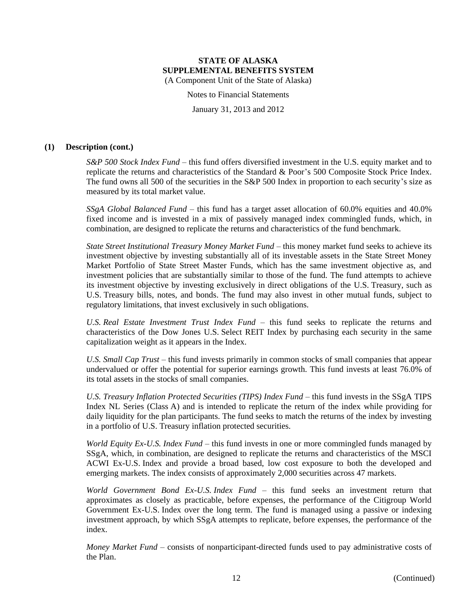Notes to Financial Statements

January 31, 2013 and 2012

#### **(1) Description (cont.)**

*S&P 500 Stock Index Fund* – this fund offers diversified investment in the U.S. equity market and to replicate the returns and characteristics of the Standard & Poor's 500 Composite Stock Price Index. The fund owns all 500 of the securities in the S&P 500 Index in proportion to each security's size as measured by its total market value.

*SSgA Global Balanced Fund* – this fund has a target asset allocation of 60.0% equities and 40.0% fixed income and is invested in a mix of passively managed index commingled funds, which, in combination, are designed to replicate the returns and characteristics of the fund benchmark.

*State Street Institutional Treasury Money Market Fund* – this money market fund seeks to achieve its investment objective by investing substantially all of its investable assets in the State Street Money Market Portfolio of State Street Master Funds, which has the same investment objective as, and investment policies that are substantially similar to those of the fund. The fund attempts to achieve its investment objective by investing exclusively in direct obligations of the U.S. Treasury, such as U.S. Treasury bills, notes, and bonds. The fund may also invest in other mutual funds, subject to regulatory limitations, that invest exclusively in such obligations.

*U.S. Real Estate Investment Trust Index Fund* – this fund seeks to replicate the returns and characteristics of the Dow Jones U.S. Select REIT Index by purchasing each security in the same capitalization weight as it appears in the Index.

*U.S. Small Cap Trust* – this fund invests primarily in common stocks of small companies that appear undervalued or offer the potential for superior earnings growth. This fund invests at least 76.0% of its total assets in the stocks of small companies.

*U.S. Treasury Inflation Protected Securities (TIPS) Index Fund* – this fund invests in the SSgA TIPS Index NL Series (Class A) and is intended to replicate the return of the index while providing for daily liquidity for the plan participants. The fund seeks to match the returns of the index by investing in a portfolio of U.S. Treasury inflation protected securities.

*World Equity Ex-U.S. Index Fund* – this fund invests in one or more commingled funds managed by SSgA, which, in combination, are designed to replicate the returns and characteristics of the MSCI ACWI Ex-U.S. Index and provide a broad based, low cost exposure to both the developed and emerging markets. The index consists of approximately 2,000 securities across 47 markets.

*World Government Bond Ex-U.S. Index Fund* – this fund seeks an investment return that approximates as closely as practicable, before expenses, the performance of the Citigroup World Government Ex-U.S. Index over the long term. The fund is managed using a passive or indexing investment approach, by which SSgA attempts to replicate, before expenses, the performance of the index.

*Money Market Fund* – consists of nonparticipant-directed funds used to pay administrative costs of the Plan.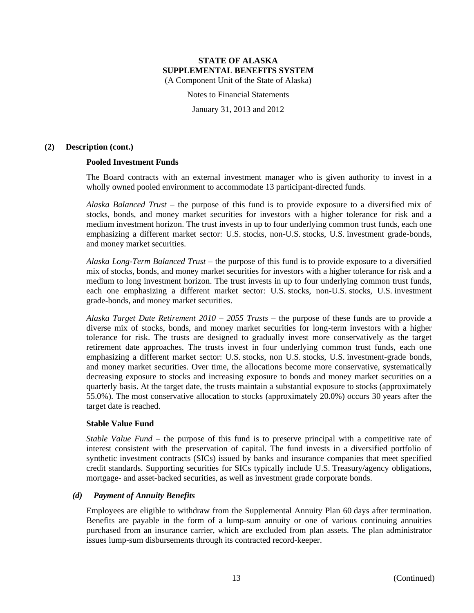Notes to Financial Statements

January 31, 2013 and 2012

## **(2) Description (cont.)**

# **Pooled Investment Funds**

The Board contracts with an external investment manager who is given authority to invest in a wholly owned pooled environment to accommodate 13 participant-directed funds.

*Alaska Balanced Trust* – the purpose of this fund is to provide exposure to a diversified mix of stocks, bonds, and money market securities for investors with a higher tolerance for risk and a medium investment horizon. The trust invests in up to four underlying common trust funds, each one emphasizing a different market sector: U.S. stocks, non-U.S. stocks, U.S. investment grade-bonds, and money market securities.

*Alaska Long-Term Balanced Trust* – the purpose of this fund is to provide exposure to a diversified mix of stocks, bonds, and money market securities for investors with a higher tolerance for risk and a medium to long investment horizon. The trust invests in up to four underlying common trust funds, each one emphasizing a different market sector: U.S. stocks, non-U.S. stocks, U.S. investment grade-bonds, and money market securities.

*Alaska Target Date Retirement 2010 – 2055 Trusts* – the purpose of these funds are to provide a diverse mix of stocks, bonds, and money market securities for long-term investors with a higher tolerance for risk. The trusts are designed to gradually invest more conservatively as the target retirement date approaches. The trusts invest in four underlying common trust funds, each one emphasizing a different market sector: U.S. stocks, non U.S. stocks, U.S. investment-grade bonds, and money market securities. Over time, the allocations become more conservative, systematically decreasing exposure to stocks and increasing exposure to bonds and money market securities on a quarterly basis. At the target date, the trusts maintain a substantial exposure to stocks (approximately 55.0%). The most conservative allocation to stocks (approximately 20.0%) occurs 30 years after the target date is reached.

#### **Stable Value Fund**

*Stable Value Fund* – the purpose of this fund is to preserve principal with a competitive rate of interest consistent with the preservation of capital. The fund invests in a diversified portfolio of synthetic investment contracts (SICs) issued by banks and insurance companies that meet specified credit standards. Supporting securities for SICs typically include U.S. Treasury/agency obligations, mortgage- and asset-backed securities, as well as investment grade corporate bonds.

# *(d) Payment of Annuity Benefits*

Employees are eligible to withdraw from the Supplemental Annuity Plan 60 days after termination. Benefits are payable in the form of a lump-sum annuity or one of various continuing annuities purchased from an insurance carrier, which are excluded from plan assets. The plan administrator issues lump-sum disbursements through its contracted record-keeper.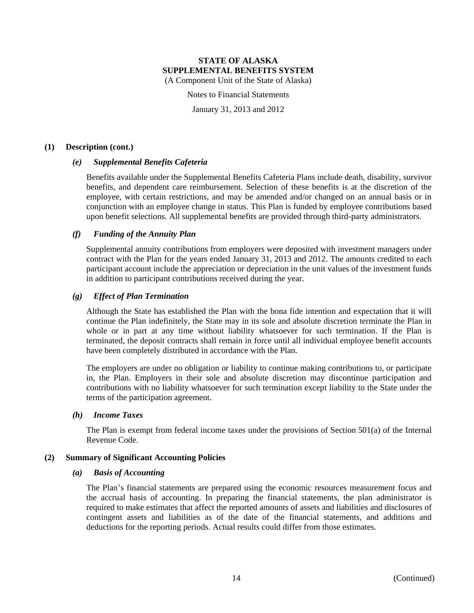Notes to Financial Statements

January 31, 2013 and 2012

## **(1) Description (cont.)**

# *(e) Supplemental Benefits Cafeteria*

Benefits available under the Supplemental Benefits Cafeteria Plans include death, disability, survivor benefits, and dependent care reimbursement. Selection of these benefits is at the discretion of the employee, with certain restrictions, and may be amended and/or changed on an annual basis or in conjunction with an employee change in status. This Plan is funded by employee contributions based upon benefit selections. All supplemental benefits are provided through third-party administrators.

# *(f) Funding of the Annuity Plan*

Supplemental annuity contributions from employers were deposited with investment managers under contract with the Plan for the years ended January 31, 2013 and 2012. The amounts credited to each participant account include the appreciation or depreciation in the unit values of the investment funds in addition to participant contributions received during the year.

# *(g) Effect of Plan Termination*

Although the State has established the Plan with the bona fide intention and expectation that it will continue the Plan indefinitely, the State may in its sole and absolute discretion terminate the Plan in whole or in part at any time without liability whatsoever for such termination. If the Plan is terminated, the deposit contracts shall remain in force until all individual employee benefit accounts have been completely distributed in accordance with the Plan.

The employers are under no obligation or liability to continue making contributions to, or participate in, the Plan. Employers in their sole and absolute discretion may discontinue participation and contributions with no liability whatsoever for such termination except liability to the State under the terms of the participation agreement.

# *(h) Income Taxes*

The Plan is exempt from federal income taxes under the provisions of Section 501(a) of the Internal Revenue Code.

# **(2) Summary of Significant Accounting Policies**

#### *(a) Basis of Accounting*

The Plan's financial statements are prepared using the economic resources measurement focus and the accrual basis of accounting. In preparing the financial statements, the plan administrator is required to make estimates that affect the reported amounts of assets and liabilities and disclosures of contingent assets and liabilities as of the date of the financial statements, and additions and deductions for the reporting periods. Actual results could differ from those estimates.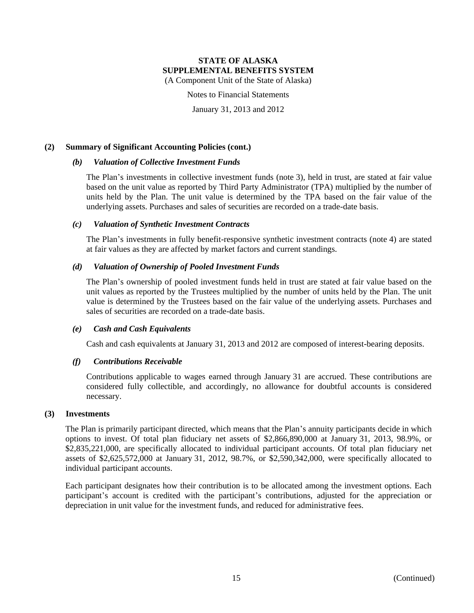# **STATE OF ALASKA SUPPLEMENTAL BENEFITS SYSTEM**

(A Component Unit of the State of Alaska)

Notes to Financial Statements

January 31, 2013 and 2012

# **(2) Summary of Significant Accounting Policies (cont.)**

#### *(b) Valuation of Collective Investment Funds*

The Plan's investments in collective investment funds (note 3), held in trust, are stated at fair value based on the unit value as reported by Third Party Administrator (TPA) multiplied by the number of units held by the Plan. The unit value is determined by the TPA based on the fair value of the underlying assets. Purchases and sales of securities are recorded on a trade-date basis.

#### *(c) Valuation of Synthetic Investment Contracts*

The Plan's investments in fully benefit-responsive synthetic investment contracts (note 4) are stated at fair values as they are affected by market factors and current standings.

# *(d) Valuation of Ownership of Pooled Investment Funds*

The Plan's ownership of pooled investment funds held in trust are stated at fair value based on the unit values as reported by the Trustees multiplied by the number of units held by the Plan. The unit value is determined by the Trustees based on the fair value of the underlying assets. Purchases and sales of securities are recorded on a trade-date basis.

#### *(e) Cash and Cash Equivalents*

Cash and cash equivalents at January 31, 2013 and 2012 are composed of interest-bearing deposits.

# *(f) Contributions Receivable*

Contributions applicable to wages earned through January 31 are accrued. These contributions are considered fully collectible, and accordingly, no allowance for doubtful accounts is considered necessary.

# **(3) Investments**

The Plan is primarily participant directed, which means that the Plan's annuity participants decide in which options to invest. Of total plan fiduciary net assets of \$2,866,890,000 at January 31, 2013, 98.9%, or \$2,835,221,000, are specifically allocated to individual participant accounts. Of total plan fiduciary net assets of \$2,625,572,000 at January 31, 2012, 98.7%, or \$2,590,342,000, were specifically allocated to individual participant accounts.

Each participant designates how their contribution is to be allocated among the investment options. Each participant's account is credited with the participant's contributions, adjusted for the appreciation or depreciation in unit value for the investment funds, and reduced for administrative fees.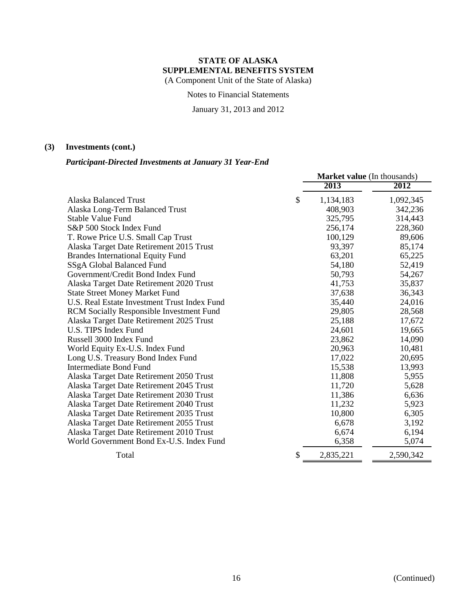Notes to Financial Statements

January 31, 2013 and 2012

# **(3) Investments (cont.)**

# *Participant-Directed Investments at January 31 Year-End*

|                                                 | <b>Market value</b> (In thousands) |           |  |
|-------------------------------------------------|------------------------------------|-----------|--|
|                                                 | 2013                               | 2012      |  |
| Alaska Balanced Trust                           | \$<br>1,134,183                    | 1,092,345 |  |
| Alaska Long-Term Balanced Trust                 | 408,903                            | 342,236   |  |
| Stable Value Fund                               | 325,795                            | 314,443   |  |
| S&P 500 Stock Index Fund                        | 256,174                            | 228,360   |  |
| T. Rowe Price U.S. Small Cap Trust              | 100,129                            | 89,606    |  |
| Alaska Target Date Retirement 2015 Trust        | 93,397                             | 85,174    |  |
| <b>Brandes International Equity Fund</b>        | 63,201                             | 65,225    |  |
| SSgA Global Balanced Fund                       | 54,180                             | 52,419    |  |
| Government/Credit Bond Index Fund               | 50,793                             | 54,267    |  |
| Alaska Target Date Retirement 2020 Trust        | 41,753                             | 35,837    |  |
| <b>State Street Money Market Fund</b>           | 37,638                             | 36,343    |  |
| U.S. Real Estate Investment Trust Index Fund    | 35,440                             | 24,016    |  |
| <b>RCM Socially Responsible Investment Fund</b> | 29,805                             | 28,568    |  |
| Alaska Target Date Retirement 2025 Trust        | 25,188                             | 17,672    |  |
| U.S. TIPS Index Fund                            | 24,601                             | 19,665    |  |
| Russell 3000 Index Fund                         | 23,862                             | 14,090    |  |
| World Equity Ex-U.S. Index Fund                 | 20,963                             | 10,481    |  |
| Long U.S. Treasury Bond Index Fund              | 17,022                             | 20,695    |  |
| Intermediate Bond Fund                          | 15,538                             | 13,993    |  |
| Alaska Target Date Retirement 2050 Trust        | 11,808                             | 5,955     |  |
| Alaska Target Date Retirement 2045 Trust        | 11,720                             | 5,628     |  |
| Alaska Target Date Retirement 2030 Trust        | 11,386                             | 6,636     |  |
| Alaska Target Date Retirement 2040 Trust        | 11,232                             | 5,923     |  |
| Alaska Target Date Retirement 2035 Trust        | 10,800                             | 6,305     |  |
| Alaska Target Date Retirement 2055 Trust        | 6,678                              | 3,192     |  |
| Alaska Target Date Retirement 2010 Trust        | 6,674                              | 6,194     |  |
| World Government Bond Ex-U.S. Index Fund        | 6,358                              | 5,074     |  |
| Total                                           | \$<br>2,835,221                    | 2,590,342 |  |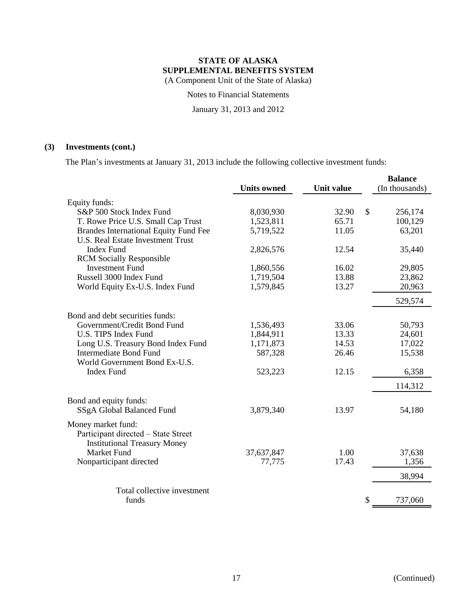Notes to Financial Statements

January 31, 2013 and 2012

# **(3) Investments (cont.)**

The Plan's investments at January 31, 2013 include the following collective investment funds:

|                                              |                    |            | <b>Balance</b> |
|----------------------------------------------|--------------------|------------|----------------|
|                                              | <b>Units owned</b> | Unit value | (In thousands) |
| Equity funds:                                |                    |            |                |
| S&P 500 Stock Index Fund                     | 8,030,930          | 32.90      | \$<br>256,174  |
| T. Rowe Price U.S. Small Cap Trust           | 1,523,811          | 65.71      | 100,129        |
| <b>Brandes International Equity Fund Fee</b> | 5,719,522          | 11.05      | 63,201         |
| <b>U.S. Real Estate Investment Trust</b>     |                    |            |                |
| <b>Index Fund</b>                            | 2,826,576          | 12.54      | 35,440         |
| <b>RCM</b> Socially Responsible              |                    |            |                |
| <b>Investment Fund</b>                       | 1,860,556          | 16.02      | 29,805         |
| Russell 3000 Index Fund                      | 1,719,504          | 13.88      | 23,862         |
| World Equity Ex-U.S. Index Fund              | 1,579,845          | 13.27      | 20,963         |
|                                              |                    |            | 529,574        |
| Bond and debt securities funds:              |                    |            |                |
| Government/Credit Bond Fund                  | 1,536,493          | 33.06      | 50,793         |
| <b>U.S. TIPS Index Fund</b>                  | 1,844,911          | 13.33      | 24,601         |
| Long U.S. Treasury Bond Index Fund           | 1,171,873          | 14.53      | 17,022         |
| <b>Intermediate Bond Fund</b>                | 587,328            | 26.46      | 15,538         |
| World Government Bond Ex-U.S.                |                    |            |                |
| <b>Index Fund</b>                            | 523,223            | 12.15      | 6,358          |
|                                              |                    |            | 114,312        |
| Bond and equity funds:                       |                    |            |                |
| SSgA Global Balanced Fund                    | 3,879,340          | 13.97      | 54,180         |
| Money market fund:                           |                    |            |                |
| Participant directed - State Street          |                    |            |                |
| <b>Institutional Treasury Money</b>          |                    |            |                |
| <b>Market Fund</b>                           | 37,637,847         | 1.00       | 37,638         |
| Nonparticipant directed                      | 77,775             | 17.43      | 1,356          |
|                                              |                    |            | 38,994         |
|                                              |                    |            |                |
| Total collective investment                  |                    |            |                |
| funds                                        |                    |            | \$<br>737,060  |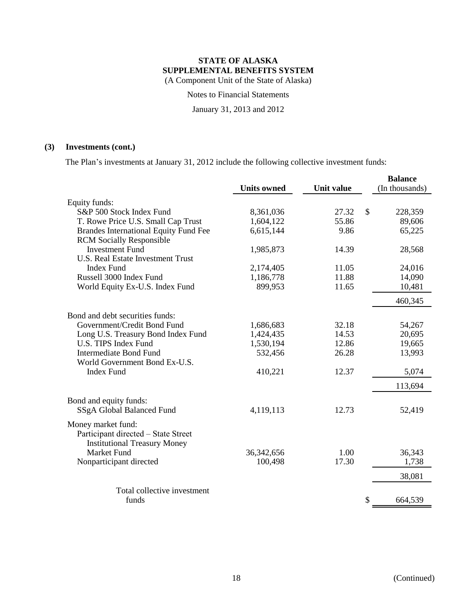Notes to Financial Statements

January 31, 2013 and 2012

# **(3) Investments (cont.)**

The Plan's investments at January 31, 2012 include the following collective investment funds:

|                                                                                                  |                    |                   |               | <b>Balance</b> |
|--------------------------------------------------------------------------------------------------|--------------------|-------------------|---------------|----------------|
|                                                                                                  | <b>Units owned</b> | <b>Unit value</b> |               | (In thousands) |
| Equity funds:                                                                                    |                    |                   |               |                |
| S&P 500 Stock Index Fund                                                                         | 8,361,036          | 27.32             | $\mathcal{S}$ | 228,359        |
| T. Rowe Price U.S. Small Cap Trust                                                               | 1,604,122          | 55.86             |               | 89,606         |
| <b>Brandes International Equity Fund Fee</b>                                                     | 6,615,144          | 9.86              |               | 65,225         |
| <b>RCM</b> Socially Responsible                                                                  |                    |                   |               |                |
| <b>Investment Fund</b>                                                                           | 1,985,873          | 14.39             |               | 28,568         |
| <b>U.S. Real Estate Investment Trust</b>                                                         |                    |                   |               |                |
| <b>Index Fund</b>                                                                                | 2,174,405          | 11.05             |               | 24,016         |
| Russell 3000 Index Fund                                                                          | 1,186,778          | 11.88             |               | 14,090         |
| World Equity Ex-U.S. Index Fund                                                                  | 899,953            | 11.65             |               | 10,481         |
|                                                                                                  |                    |                   |               | 460,345        |
| Bond and debt securities funds:                                                                  |                    |                   |               |                |
| Government/Credit Bond Fund                                                                      | 1,686,683          | 32.18             |               | 54,267         |
| Long U.S. Treasury Bond Index Fund                                                               | 1,424,435          | 14.53             |               | 20,695         |
| U.S. TIPS Index Fund                                                                             | 1,530,194          | 12.86             |               | 19,665         |
| <b>Intermediate Bond Fund</b>                                                                    | 532,456            | 26.28             |               | 13,993         |
| World Government Bond Ex-U.S.                                                                    |                    |                   |               |                |
| <b>Index Fund</b>                                                                                | 410,221            | 12.37             |               | 5,074          |
|                                                                                                  |                    |                   |               | 113,694        |
| Bond and equity funds:                                                                           |                    |                   |               |                |
| SSgA Global Balanced Fund                                                                        | 4,119,113          | 12.73             |               | 52,419         |
| Money market fund:<br>Participant directed - State Street<br><b>Institutional Treasury Money</b> |                    |                   |               |                |
| <b>Market Fund</b>                                                                               | 36, 342, 656       | 1.00              |               | 36,343         |
| Nonparticipant directed                                                                          | 100,498            | 17.30             |               | 1,738          |
|                                                                                                  |                    |                   |               |                |
|                                                                                                  |                    |                   |               | 38,081         |
| Total collective investment                                                                      |                    |                   |               |                |
| funds                                                                                            |                    |                   | \$            | 664,539        |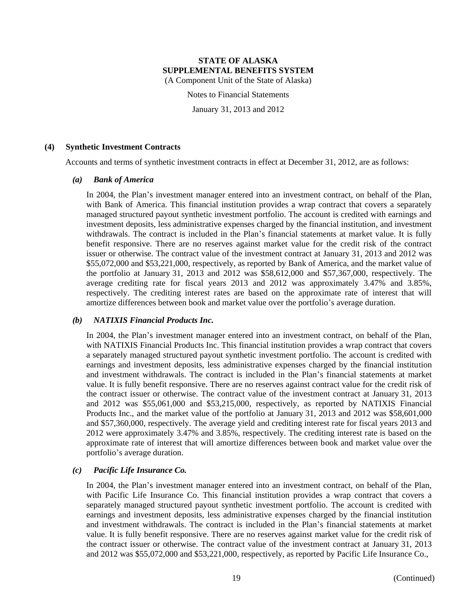Notes to Financial Statements

January 31, 2013 and 2012

# **(4) Synthetic Investment Contracts**

Accounts and terms of synthetic investment contracts in effect at December 31, 2012, are as follows:

#### *(a) Bank of America*

In 2004, the Plan's investment manager entered into an investment contract, on behalf of the Plan, with Bank of America. This financial institution provides a wrap contract that covers a separately managed structured payout synthetic investment portfolio. The account is credited with earnings and investment deposits, less administrative expenses charged by the financial institution, and investment withdrawals. The contract is included in the Plan's financial statements at market value. It is fully benefit responsive. There are no reserves against market value for the credit risk of the contract issuer or otherwise. The contract value of the investment contract at January 31, 2013 and 2012 was \$55,072,000 and \$53,221,000, respectively, as reported by Bank of America, and the market value of the portfolio at January 31, 2013 and 2012 was \$58,612,000 and \$57,367,000, respectively. The average crediting rate for fiscal years 2013 and 2012 was approximately 3.47% and 3.85%, respectively. The crediting interest rates are based on the approximate rate of interest that will amortize differences between book and market value over the portfolio's average duration.

#### *(b) NATIXIS Financial Products Inc.*

In 2004, the Plan's investment manager entered into an investment contract, on behalf of the Plan, with NATIXIS Financial Products Inc. This financial institution provides a wrap contract that covers a separately managed structured payout synthetic investment portfolio. The account is credited with earnings and investment deposits, less administrative expenses charged by the financial institution and investment withdrawals. The contract is included in the Plan's financial statements at market value. It is fully benefit responsive. There are no reserves against contract value for the credit risk of the contract issuer or otherwise. The contract value of the investment contract at January 31, 2013 and 2012 was \$55,061,000 and \$53,215,000, respectively, as reported by NATIXIS Financial Products Inc., and the market value of the portfolio at January 31, 2013 and 2012 was \$58,601,000 and \$57,360,000, respectively. The average yield and crediting interest rate for fiscal years 2013 and 2012 were approximately 3.47% and 3.85%, respectively. The crediting interest rate is based on the approximate rate of interest that will amortize differences between book and market value over the portfolio's average duration.

#### *(c) Pacific Life Insurance Co.*

In 2004, the Plan's investment manager entered into an investment contract, on behalf of the Plan, with Pacific Life Insurance Co. This financial institution provides a wrap contract that covers a separately managed structured payout synthetic investment portfolio. The account is credited with earnings and investment deposits, less administrative expenses charged by the financial institution and investment withdrawals. The contract is included in the Plan's financial statements at market value. It is fully benefit responsive. There are no reserves against market value for the credit risk of the contract issuer or otherwise. The contract value of the investment contract at January 31, 2013 and 2012 was \$55,072,000 and \$53,221,000, respectively, as reported by Pacific Life Insurance Co.,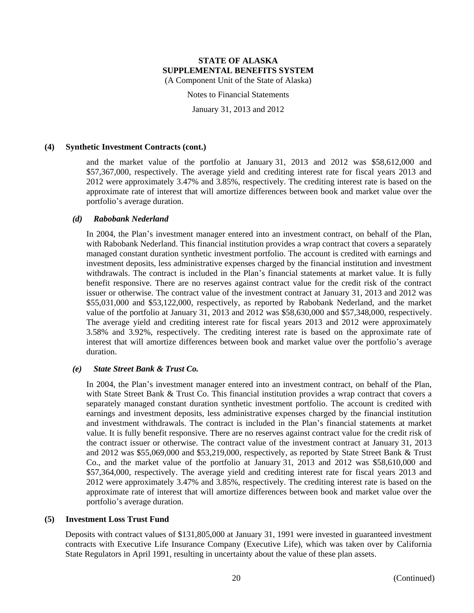Notes to Financial Statements

January 31, 2013 and 2012

#### **(4) Synthetic Investment Contracts (cont.)**

and the market value of the portfolio at January 31, 2013 and 2012 was \$58,612,000 and \$57,367,000, respectively. The average yield and crediting interest rate for fiscal years 2013 and 2012 were approximately 3.47% and 3.85%, respectively. The crediting interest rate is based on the approximate rate of interest that will amortize differences between book and market value over the portfolio's average duration.

## *(d) Rabobank Nederland*

In 2004, the Plan's investment manager entered into an investment contract, on behalf of the Plan, with Rabobank Nederland. This financial institution provides a wrap contract that covers a separately managed constant duration synthetic investment portfolio. The account is credited with earnings and investment deposits, less administrative expenses charged by the financial institution and investment withdrawals. The contract is included in the Plan's financial statements at market value. It is fully benefit responsive. There are no reserves against contract value for the credit risk of the contract issuer or otherwise. The contract value of the investment contract at January 31, 2013 and 2012 was \$55,031,000 and \$53,122,000, respectively, as reported by Rabobank Nederland, and the market value of the portfolio at January 31, 2013 and 2012 was \$58,630,000 and \$57,348,000, respectively. The average yield and crediting interest rate for fiscal years 2013 and 2012 were approximately 3.58% and 3.92%, respectively. The crediting interest rate is based on the approximate rate of interest that will amortize differences between book and market value over the portfolio's average duration.

#### *(e) State Street Bank & Trust Co.*

In 2004, the Plan's investment manager entered into an investment contract, on behalf of the Plan, with State Street Bank & Trust Co. This financial institution provides a wrap contract that covers a separately managed constant duration synthetic investment portfolio. The account is credited with earnings and investment deposits, less administrative expenses charged by the financial institution and investment withdrawals. The contract is included in the Plan's financial statements at market value. It is fully benefit responsive. There are no reserves against contract value for the credit risk of the contract issuer or otherwise. The contract value of the investment contract at January 31, 2013 and 2012 was \$55,069,000 and \$53,219,000, respectively, as reported by State Street Bank & Trust Co., and the market value of the portfolio at January 31, 2013 and 2012 was \$58,610,000 and \$57,364,000, respectively. The average yield and crediting interest rate for fiscal years 2013 and 2012 were approximately 3.47% and 3.85%, respectively. The crediting interest rate is based on the approximate rate of interest that will amortize differences between book and market value over the portfolio's average duration.

#### **(5) Investment Loss Trust Fund**

Deposits with contract values of \$131,805,000 at January 31, 1991 were invested in guaranteed investment contracts with Executive Life Insurance Company (Executive Life), which was taken over by California State Regulators in April 1991, resulting in uncertainty about the value of these plan assets.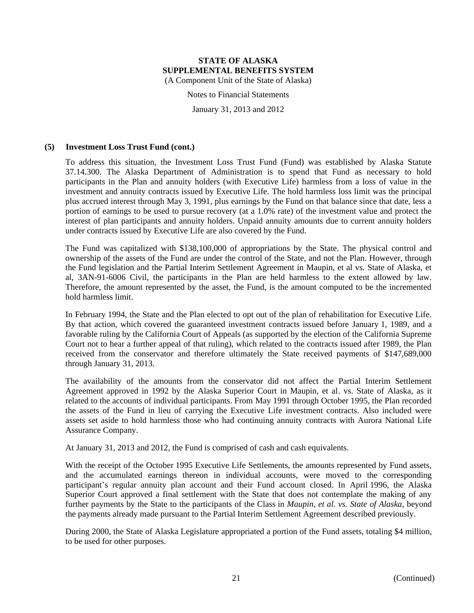Notes to Financial Statements

January 31, 2013 and 2012

## **(5) Investment Loss Trust Fund (cont.)**

To address this situation, the Investment Loss Trust Fund (Fund) was established by Alaska Statute 37.14.300. The Alaska Department of Administration is to spend that Fund as necessary to hold participants in the Plan and annuity holders (with Executive Life) harmless from a loss of value in the investment and annuity contracts issued by Executive Life. The hold harmless loss limit was the principal plus accrued interest through May 3, 1991, plus earnings by the Fund on that balance since that date, less a portion of earnings to be used to pursue recovery (at a 1.0% rate) of the investment value and protect the interest of plan participants and annuity holders. Unpaid annuity amounts due to current annuity holders under contracts issued by Executive Life are also covered by the Fund.

The Fund was capitalized with \$138,100,000 of appropriations by the State. The physical control and ownership of the assets of the Fund are under the control of the State, and not the Plan. However, through the Fund legislation and the Partial Interim Settlement Agreement in Maupin, et al vs. State of Alaska, et al, 3AN-91-6006 Civil, the participants in the Plan are held harmless to the extent allowed by law. Therefore, the amount represented by the asset, the Fund, is the amount computed to be the incremented hold harmless limit.

In February 1994, the State and the Plan elected to opt out of the plan of rehabilitation for Executive Life. By that action, which covered the guaranteed investment contracts issued before January 1, 1989, and a favorable ruling by the California Court of Appeals (as supported by the election of the California Supreme Court not to hear a further appeal of that ruling), which related to the contracts issued after 1989, the Plan received from the conservator and therefore ultimately the State received payments of \$147,689,000 through January 31, 2013.

The availability of the amounts from the conservator did not affect the Partial Interim Settlement Agreement approved in 1992 by the Alaska Superior Court in Maupin, et al. vs. State of Alaska, as it related to the accounts of individual participants. From May 1991 through October 1995, the Plan recorded the assets of the Fund in lieu of carrying the Executive Life investment contracts. Also included were assets set aside to hold harmless those who had continuing annuity contracts with Aurora National Life Assurance Company.

At January 31, 2013 and 2012, the Fund is comprised of cash and cash equivalents.

With the receipt of the October 1995 Executive Life Settlements, the amounts represented by Fund assets, and the accumulated earnings thereon in individual accounts, were moved to the corresponding participant's regular annuity plan account and their Fund account closed. In April 1996, the Alaska Superior Court approved a final settlement with the State that does not contemplate the making of any further payments by the State to the participants of the Class in *Maupin, et al. vs. State of Alaska*, beyond the payments already made pursuant to the Partial Interim Settlement Agreement described previously.

During 2000, the State of Alaska Legislature appropriated a portion of the Fund assets, totaling \$4 million, to be used for other purposes.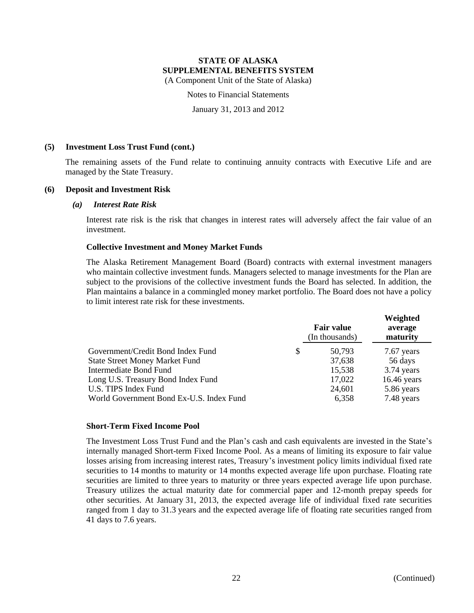Notes to Financial Statements

January 31, 2013 and 2012

## **(5) Investment Loss Trust Fund (cont.)**

The remaining assets of the Fund relate to continuing annuity contracts with Executive Life and are managed by the State Treasury.

# **(6) Deposit and Investment Risk**

#### *(a) Interest Rate Risk*

Interest rate risk is the risk that changes in interest rates will adversely affect the fair value of an investment.

# **Collective Investment and Money Market Funds**

The Alaska Retirement Management Board (Board) contracts with external investment managers who maintain collective investment funds. Managers selected to manage investments for the Plan are subject to the provisions of the collective investment funds the Board has selected. In addition, the Plan maintains a balance in a commingled money market portfolio. The Board does not have a policy to limit interest rate risk for these investments.

|                                          | <b>Fair value</b><br>(In thousands) | Weighted<br>average<br>maturity |
|------------------------------------------|-------------------------------------|---------------------------------|
| Government/Credit Bond Index Fund<br>S   | 50.793                              | 7.67 years                      |
| <b>State Street Money Market Fund</b>    | 37,638                              | 56 days                         |
| Intermediate Bond Fund                   | 15,538                              | 3.74 years                      |
| Long U.S. Treasury Bond Index Fund       | 17,022                              | $16.46$ years                   |
| U.S. TIPS Index Fund                     | 24,601                              | 5.86 years                      |
| World Government Bond Ex-U.S. Index Fund | 6,358                               | 7.48 years                      |

#### **Short-Term Fixed Income Pool**

The Investment Loss Trust Fund and the Plan's cash and cash equivalents are invested in the State's internally managed Short-term Fixed Income Pool. As a means of limiting its exposure to fair value losses arising from increasing interest rates, Treasury's investment policy limits individual fixed rate securities to 14 months to maturity or 14 months expected average life upon purchase. Floating rate securities are limited to three years to maturity or three years expected average life upon purchase. Treasury utilizes the actual maturity date for commercial paper and 12-month prepay speeds for other securities. At January 31, 2013, the expected average life of individual fixed rate securities ranged from 1 day to 31.3 years and the expected average life of floating rate securities ranged from 41 days to 7.6 years.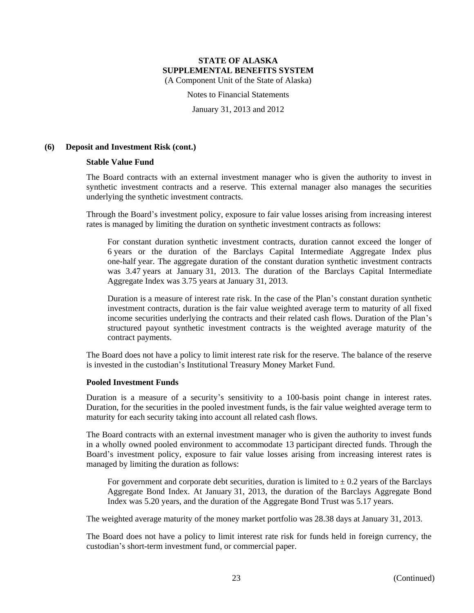Notes to Financial Statements

January 31, 2013 and 2012

# **(6) Deposit and Investment Risk (cont.)**

#### **Stable Value Fund**

The Board contracts with an external investment manager who is given the authority to invest in synthetic investment contracts and a reserve. This external manager also manages the securities underlying the synthetic investment contracts.

Through the Board's investment policy, exposure to fair value losses arising from increasing interest rates is managed by limiting the duration on synthetic investment contracts as follows:

For constant duration synthetic investment contracts, duration cannot exceed the longer of 6 years or the duration of the Barclays Capital Intermediate Aggregate Index plus one-half year. The aggregate duration of the constant duration synthetic investment contracts was 3.47 years at January 31, 2013. The duration of the Barclays Capital Intermediate Aggregate Index was 3.75 years at January 31, 2013.

Duration is a measure of interest rate risk. In the case of the Plan's constant duration synthetic investment contracts, duration is the fair value weighted average term to maturity of all fixed income securities underlying the contracts and their related cash flows. Duration of the Plan's structured payout synthetic investment contracts is the weighted average maturity of the contract payments.

The Board does not have a policy to limit interest rate risk for the reserve. The balance of the reserve is invested in the custodian's Institutional Treasury Money Market Fund.

# **Pooled Investment Funds**

Duration is a measure of a security's sensitivity to a 100-basis point change in interest rates. Duration, for the securities in the pooled investment funds, is the fair value weighted average term to maturity for each security taking into account all related cash flows.

The Board contracts with an external investment manager who is given the authority to invest funds in a wholly owned pooled environment to accommodate 13 participant directed funds. Through the Board's investment policy, exposure to fair value losses arising from increasing interest rates is managed by limiting the duration as follows:

For government and corporate debt securities, duration is limited to  $\pm$  0.2 years of the Barclays Aggregate Bond Index. At January 31, 2013, the duration of the Barclays Aggregate Bond Index was 5.20 years, and the duration of the Aggregate Bond Trust was 5.17 years.

The weighted average maturity of the money market portfolio was 28.38 days at January 31, 2013.

The Board does not have a policy to limit interest rate risk for funds held in foreign currency, the custodian's short-term investment fund, or commercial paper.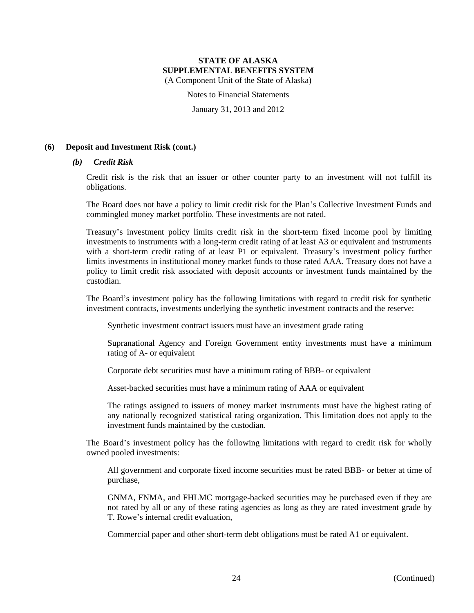Notes to Financial Statements

January 31, 2013 and 2012

# **(6) Deposit and Investment Risk (cont.)**

# *(b) Credit Risk*

Credit risk is the risk that an issuer or other counter party to an investment will not fulfill its obligations.

The Board does not have a policy to limit credit risk for the Plan's Collective Investment Funds and commingled money market portfolio. These investments are not rated.

Treasury's investment policy limits credit risk in the short-term fixed income pool by limiting investments to instruments with a long-term credit rating of at least A3 or equivalent and instruments with a short-term credit rating of at least P1 or equivalent. Treasury's investment policy further limits investments in institutional money market funds to those rated AAA. Treasury does not have a policy to limit credit risk associated with deposit accounts or investment funds maintained by the custodian.

The Board's investment policy has the following limitations with regard to credit risk for synthetic investment contracts, investments underlying the synthetic investment contracts and the reserve:

Synthetic investment contract issuers must have an investment grade rating

Supranational Agency and Foreign Government entity investments must have a minimum rating of A- or equivalent

Corporate debt securities must have a minimum rating of BBB- or equivalent

Asset-backed securities must have a minimum rating of AAA or equivalent

The ratings assigned to issuers of money market instruments must have the highest rating of any nationally recognized statistical rating organization. This limitation does not apply to the investment funds maintained by the custodian.

The Board's investment policy has the following limitations with regard to credit risk for wholly owned pooled investments:

All government and corporate fixed income securities must be rated BBB- or better at time of purchase,

GNMA, FNMA, and FHLMC mortgage-backed securities may be purchased even if they are not rated by all or any of these rating agencies as long as they are rated investment grade by T. Rowe's internal credit evaluation,

Commercial paper and other short-term debt obligations must be rated A1 or equivalent.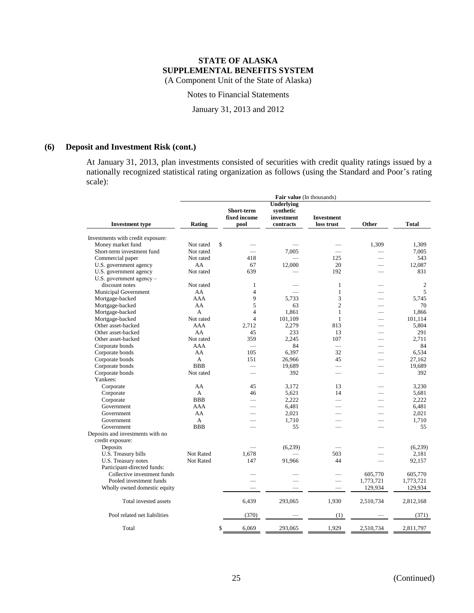Notes to Financial Statements

January 31, 2013 and 2012

# **(6) Deposit and Investment Risk (cont.)**

At January 31, 2013, plan investments consisted of securities with credit quality ratings issued by a nationally recognized statistical rating organization as follows (using the Standard and Poor's rating scale):

|                                   | Fair value (In thousands) |                          |                   |                          |                          |              |
|-----------------------------------|---------------------------|--------------------------|-------------------|--------------------------|--------------------------|--------------|
|                                   |                           |                          | <b>Underlying</b> |                          |                          |              |
|                                   |                           | Short-term               | synthetic         |                          |                          |              |
|                                   |                           | fixed income             | investment        | <b>Investment</b>        |                          |              |
| <b>Investment type</b>            | Rating                    | pool                     | contracts         | loss trust               | Other                    | <b>Total</b> |
|                                   |                           |                          |                   |                          |                          |              |
| Investments with credit exposure: |                           | $\mathbf{s}$             |                   |                          |                          |              |
| Money market fund                 | Not rated                 |                          | 7,005             |                          | 1,309                    | 1,309        |
| Short-term investment fund        | Not rated                 |                          |                   |                          | $\overline{\phantom{0}}$ | 7,005        |
| Commercial paper                  | Not rated                 | 418                      |                   | 125                      |                          | 543          |
| U.S. government agency            | AA                        | 67                       | 12,000            | 20                       |                          | 12,087       |
| U.S. government agency            | Not rated                 | 639                      |                   | 192                      |                          | 831          |
| U.S. government agency -          |                           |                          |                   |                          |                          |              |
| discount notes                    | Not rated                 | 1                        |                   | $\mathbf{1}$             |                          | 2            |
| <b>Municipal Government</b>       | AA                        | $\overline{4}$           |                   | $\mathbf{1}$             |                          | 5            |
| Mortgage-backed                   | AAA                       | 9                        | 5.733             | 3                        | $\overline{\phantom{0}}$ | 5.745        |
| Mortgage-backed                   | AA                        | 5                        | 63                | $\overline{2}$           | $\overline{\phantom{0}}$ | 70           |
| Mortgage-backed                   | A                         | $\overline{4}$           | 1.861             | $\mathbf{1}$             | $\overline{\phantom{0}}$ | 1.866        |
| Mortgage-backed                   | Not rated                 | $\overline{4}$           | 101,109           | $\mathbf{1}$             | $\overline{\phantom{0}}$ | 101,114      |
| Other asset-backed                | AAA                       | 2.712                    | 2,279             | 813                      | $\overline{\phantom{0}}$ | 5.804        |
| Other asset-backed                | AA                        | 45                       | 233               | 13                       | $\overline{\phantom{0}}$ | 291          |
| Other asset-backed                | Not rated                 | 359                      | 2.245             | 107                      | $\overline{\phantom{0}}$ | 2,711        |
| Corporate bonds                   | AAA                       | $\overline{\phantom{0}}$ | 84                | $\overline{\phantom{0}}$ |                          | 84           |
| Corporate bonds                   | AA                        | 105                      | 6,397             | 32                       | ÷.                       | 6,534        |
| Corporate bonds                   | A                         | 151                      | 26,966            | 45                       |                          | 27,162       |
| Corporate bonds                   | <b>BBB</b>                | -                        | 19,689            | ÷.                       | ÷.                       | 19,689       |
| Corporate bonds                   | Not rated                 |                          | 392               | $\overline{\phantom{0}}$ |                          | 392          |
| Yankees:                          |                           |                          |                   |                          |                          |              |
| Corporate                         | AA                        | 45                       | 3,172             | 13                       |                          | 3,230        |
| Corporate                         | A                         | 46                       | 5,621             | 14                       |                          | 5.681        |
| Corporate                         | <b>BBB</b>                |                          | 2,222             |                          |                          | 2,222        |
| Government                        | AAA                       |                          | 6,481             |                          |                          | 6.481        |
| Government                        | AA                        |                          | 2,021             |                          |                          | 2,021        |
| Government                        | A                         |                          | 1,710             |                          |                          | 1.710        |
| Government                        | <b>BBB</b>                |                          | 55                |                          |                          | 55           |
| Deposits and investments with no  |                           |                          |                   |                          |                          |              |
| credit exposure:                  |                           |                          |                   |                          |                          |              |
| Deposits                          |                           |                          | (6,239)           |                          |                          | (6,239)      |
| U.S. Treasury bills               | Not Rated                 | 1.678                    |                   | 503                      |                          | 2.181        |
| U.S. Treasury notes               | Not Rated                 | 147                      | 91,966            | 44                       |                          | 92,157       |
| Participant-directed funds:       |                           |                          |                   |                          |                          |              |
| Collective investment funds       |                           |                          |                   |                          | 605,770                  | 605,770      |
| Pooled investment funds           |                           |                          |                   | $\overline{\phantom{0}}$ | 1,773,721                | 1,773,721    |
| Wholly owned domestic equity      |                           |                          |                   |                          | 129,934                  | 129,934      |
| Total invested assets             |                           | 6,439                    | 293,065           | 1,930                    | 2,510,734                | 2,812,168    |
| Pool related net liabilities      |                           | (370)                    |                   | (1)                      |                          | (371)        |
| Total                             |                           | \$<br>6,069              | 293,065           | 1,929                    | 2,510,734                | 2,811,797    |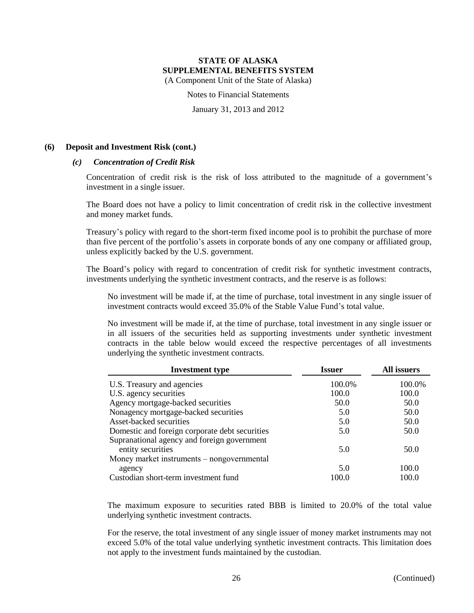Notes to Financial Statements

January 31, 2013 and 2012

# **(6) Deposit and Investment Risk (cont.)**

# *(c) Concentration of Credit Risk*

Concentration of credit risk is the risk of loss attributed to the magnitude of a government's investment in a single issuer.

The Board does not have a policy to limit concentration of credit risk in the collective investment and money market funds.

Treasury's policy with regard to the short-term fixed income pool is to prohibit the purchase of more than five percent of the portfolio's assets in corporate bonds of any one company or affiliated group, unless explicitly backed by the U.S. government.

The Board's policy with regard to concentration of credit risk for synthetic investment contracts, investments underlying the synthetic investment contracts, and the reserve is as follows:

No investment will be made if, at the time of purchase, total investment in any single issuer of investment contracts would exceed 35.0% of the Stable Value Fund's total value.

No investment will be made if, at the time of purchase, total investment in any single issuer or in all issuers of the securities held as supporting investments under synthetic investment contracts in the table below would exceed the respective percentages of all investments underlying the synthetic investment contracts.

| <b>Investment type</b>                         | <b>Issuer</b> | All issuers |  |
|------------------------------------------------|---------------|-------------|--|
| U.S. Treasury and agencies                     | 100.0%        | 100.0%      |  |
| U.S. agency securities                         | 100.0         | 100.0       |  |
| Agency mortgage-backed securities              | 50.0          | 50.0        |  |
| Nonagency mortgage-backed securities           | 5.0           | 50.0        |  |
| Asset-backed securities                        | 5.0           | 50.0        |  |
| Domestic and foreign corporate debt securities | 5.0           | 50.0        |  |
| Supranational agency and foreign government    |               |             |  |
| entity securities                              | 5.0           | 50.0        |  |
| Money market instruments – nongovernmental     |               |             |  |
| agency                                         | 5.0           | 100.0       |  |
| Custodian short-term investment fund           | 100.0         | 100.0       |  |

The maximum exposure to securities rated BBB is limited to 20.0% of the total value underlying synthetic investment contracts.

For the reserve, the total investment of any single issuer of money market instruments may not exceed 5.0% of the total value underlying synthetic investment contracts. This limitation does not apply to the investment funds maintained by the custodian.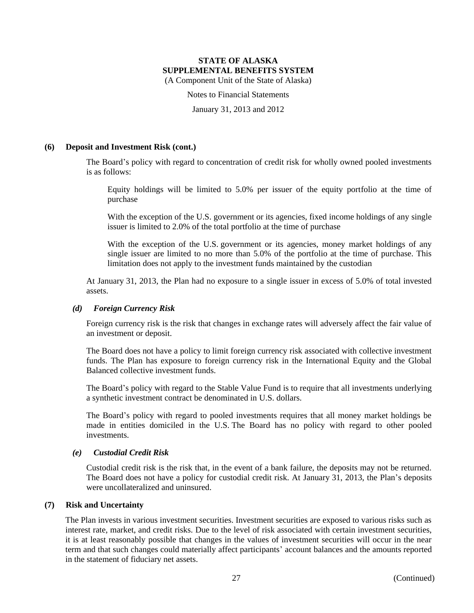Notes to Financial Statements

January 31, 2013 and 2012

## **(6) Deposit and Investment Risk (cont.)**

The Board's policy with regard to concentration of credit risk for wholly owned pooled investments is as follows:

Equity holdings will be limited to 5.0% per issuer of the equity portfolio at the time of purchase

With the exception of the U.S. government or its agencies, fixed income holdings of any single issuer is limited to 2.0% of the total portfolio at the time of purchase

With the exception of the U.S. government or its agencies, money market holdings of any single issuer are limited to no more than 5.0% of the portfolio at the time of purchase. This limitation does not apply to the investment funds maintained by the custodian

At January 31, 2013, the Plan had no exposure to a single issuer in excess of 5.0% of total invested assets.

## *(d) Foreign Currency Risk*

Foreign currency risk is the risk that changes in exchange rates will adversely affect the fair value of an investment or deposit.

The Board does not have a policy to limit foreign currency risk associated with collective investment funds. The Plan has exposure to foreign currency risk in the International Equity and the Global Balanced collective investment funds.

The Board's policy with regard to the Stable Value Fund is to require that all investments underlying a synthetic investment contract be denominated in U.S. dollars.

The Board's policy with regard to pooled investments requires that all money market holdings be made in entities domiciled in the U.S. The Board has no policy with regard to other pooled investments.

#### *(e) Custodial Credit Risk*

Custodial credit risk is the risk that, in the event of a bank failure, the deposits may not be returned. The Board does not have a policy for custodial credit risk. At January 31, 2013, the Plan's deposits were uncollateralized and uninsured.

#### **(7) Risk and Uncertainty**

The Plan invests in various investment securities. Investment securities are exposed to various risks such as interest rate, market, and credit risks. Due to the level of risk associated with certain investment securities, it is at least reasonably possible that changes in the values of investment securities will occur in the near term and that such changes could materially affect participants' account balances and the amounts reported in the statement of fiduciary net assets.